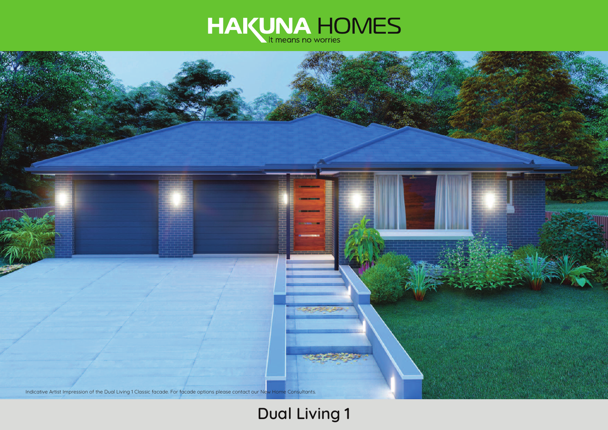



# **Dual Living 1**